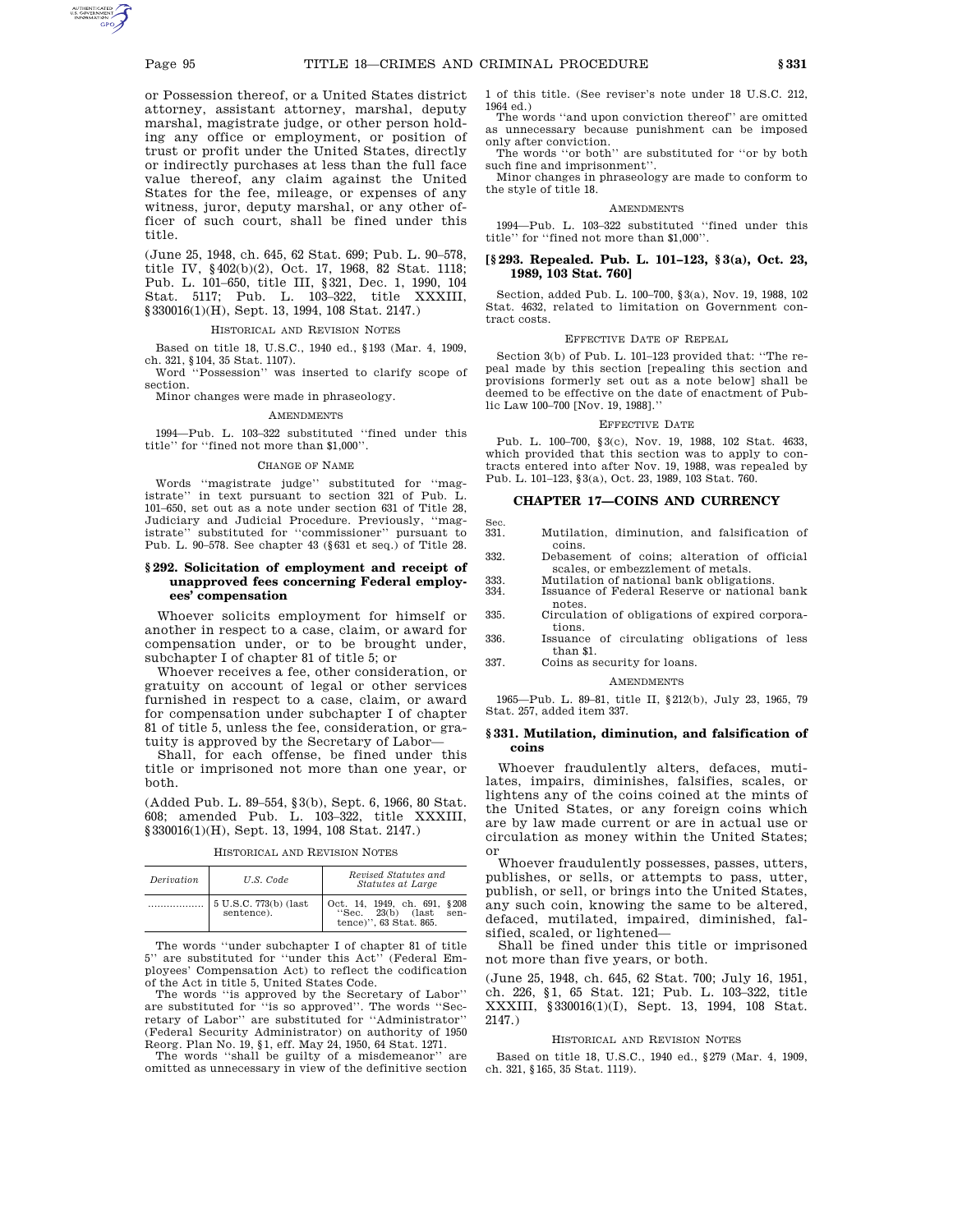or Possession thereof, or a United States district attorney, assistant attorney, marshal, deputy marshal, magistrate judge, or other person holding any office or employment, or position of trust or profit under the United States, directly or indirectly purchases at less than the full face value thereof, any claim against the United States for the fee, mileage, or expenses of any witness, juror, deputy marshal, or any other officer of such court, shall be fined under this title.

(June 25, 1948, ch. 645, 62 Stat. 699; Pub. L. 90–578, title IV, §402(b)(2), Oct. 17, 1968, 82 Stat. 1118; Pub. L. 101–650, title III, §321, Dec. 1, 1990, 104 Stat. 5117; Pub. L. 103–322, title XXXIII, §330016(1)(H), Sept. 13, 1994, 108 Stat. 2147.)

### HISTORICAL AND REVISION NOTES

Based on title 18, U.S.C., 1940 ed., §193 (Mar. 4, 1909, ch. 321, §104, 35 Stat. 1107).

Word ''Possession'' was inserted to clarify scope of section.

Minor changes were made in phraseology.

### AMENDMENTS

1994—Pub. L. 103–322 substituted ''fined under this title'' for ''fined not more than \$1,000''.

#### CHANGE OF NAME

Words ''magistrate judge'' substituted for ''magistrate'' in text pursuant to section 321 of Pub. L. 101–650, set out as a note under section 631 of Title 28, Judiciary and Judicial Procedure. Previously, ''magistrate'' substituted for ''commissioner'' pursuant to Pub. L. 90–578. See chapter 43 (§631 et seq.) of Title 28.

## **§ 292. Solicitation of employment and receipt of unapproved fees concerning Federal employees' compensation**

Whoever solicits employment for himself or another in respect to a case, claim, or award for compensation under, or to be brought under, subchapter I of chapter 81 of title 5; or

Whoever receives a fee, other consideration, or gratuity on account of legal or other services furnished in respect to a case, claim, or award for compensation under subchapter I of chapter 81 of title 5, unless the fee, consideration, or gratuity is approved by the Secretary of Labor—

Shall, for each offense, be fined under this title or imprisoned not more than one year, or both.

(Added Pub. L. 89–554, §3(b), Sept. 6, 1966, 80 Stat. 608; amended Pub. L. 103–322, title XXXIII, §330016(1)(H), Sept. 13, 1994, 108 Stat. 2147.)

HISTORICAL AND REVISION NOTES

| Derivation | U.S. Code                           | Revised Statutes and<br>Statutes at Large                                                     |
|------------|-------------------------------------|-----------------------------------------------------------------------------------------------|
|            | 5 U.S.C. 773(b) (last<br>sentence). | Oct. 14, 1949, ch. 691,<br>\$208<br>23(b)<br>(last<br>"Sec.<br>sen-<br>tence)", 63 Stat. 865. |

The words ''under subchapter I of chapter 81 of title 5'' are substituted for ''under this Act'' (Federal Employees' Compensation Act) to reflect the codification of the Act in title 5, United States Code.

The words ''is approved by the Secretary of Labor'' are substituted for ''is so approved''. The words ''Secretary of Labor'' are substituted for ''Administrator'' (Federal Security Administrator) on authority of 1950 Reorg. Plan No. 19, §1, eff. May 24, 1950, 64 Stat. 1271.

The words ''shall be guilty of a misdemeanor'' are omitted as unnecessary in view of the definitive section 1 of this title. (See reviser's note under 18 U.S.C. 212, 1964 ed.)

The words ''and upon conviction thereof'' are omitted as unnecessary because punishment can be imposed only after conviction. The words ''or both'' are substituted for ''or by both

such fine and imprisonment''.

Minor changes in phraseology are made to conform to the style of title 18.

## AMENDMENTS

1994—Pub. L. 103–322 substituted ''fined under this title'' for ''fined not more than \$1,000''.

### **[§ 293. Repealed. Pub. L. 101–123, § 3(a), Oct. 23, 1989, 103 Stat. 760]**

Section, added Pub. L. 100–700, §3(a), Nov. 19, 1988, 102 Stat. 4632, related to limitation on Government contract costs.

### EFFECTIVE DATE OF REPEAL

Section 3(b) of Pub. L. 101–123 provided that: ''The repeal made by this section [repealing this section and provisions formerly set out as a note below] shall be deemed to be effective on the date of enactment of Public Law 100–700 [Nov. 19, 1988].''

### EFFECTIVE DATE

Pub. L. 100–700, §3(c), Nov. 19, 1988, 102 Stat. 4633, which provided that this section was to apply to contracts entered into after Nov. 19, 1988, was repealed by Pub. L. 101–123, §3(a), Oct. 23, 1989, 103 Stat. 760.

# **CHAPTER 17—COINS AND CURRENCY**

- 331. 331. Mutilation, diminution, and falsification of coins.
- 332. Debasement of coins; alteration of official scales, or embezzlement of metals.
- 333. Mutilation of national bank obligations.
- Issuance of Federal Reserve or national bank notes.
- 335. Circulation of obligations of expired corporations.
- 336. Issuance of circulating obligations of less than \$1.
- 337. Coins as security for loans.

### AMENDMENTS

1965—Pub. L. 89–81, title II, §212(b), July 23, 1965, 79 Stat. 257, added item 337.

## **§ 331. Mutilation, diminution, and falsification of coins**

Whoever fraudulently alters, defaces, mutilates, impairs, diminishes, falsifies, scales, or lightens any of the coins coined at the mints of the United States, or any foreign coins which are by law made current or are in actual use or circulation as money within the United States; or

Whoever fraudulently possesses, passes, utters, publishes, or sells, or attempts to pass, utter, publish, or sell, or brings into the United States, any such coin, knowing the same to be altered, defaced, mutilated, impaired, diminished, falsified, scaled, or lightened—

Shall be fined under this title or imprisoned not more than five years, or both.

(June 25, 1948, ch. 645, 62 Stat. 700; July 16, 1951, ch. 226, §1, 65 Stat. 121; Pub. L. 103–322, title XXXIII, §330016(1)(I), Sept. 13, 1994, 108 Stat. 2147.)

### HISTORICAL AND REVISION NOTES

Based on title 18, U.S.C., 1940 ed., §279 (Mar. 4, 1909, ch. 321, §165, 35 Stat. 1119).